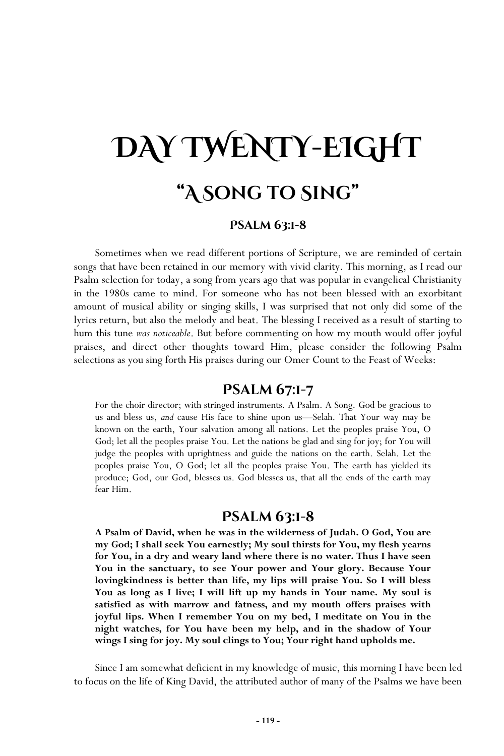# **DAY TWENTY-EIGHT "A Song to Sing"**

### **Psalm 63:1-8**

Sometimes when we read different portions of Scripture, we are reminded of certain songs that have been retained in our memory with vivid clarity. This morning, as I read our Psalm selection for today, a song from years ago that was popular in evangelical Christianity in the 1980s came to mind. For someone who has not been blessed with an exorbitant amount of musical ability or singing skills, I was surprised that not only did some of the lyrics return, but also the melody and beat. The blessing I received as a result of starting to hum this tune *was noticeable*. But before commenting on how my mouth would offer joyful praises, and direct other thoughts toward Him, please consider the following Psalm selections as you sing forth His praises during our Omer Count to the Feast of Weeks:

## **Psalm 67:1-7**

For the choir director; with stringed instruments. A Psalm. A Song. God be gracious to us and bless us, *and* cause His face to shine upon us—Selah. That Your way may be known on the earth, Your salvation among all nations. Let the peoples praise You, O God; let all the peoples praise You. Let the nations be glad and sing for joy; for You will judge the peoples with uprightness and guide the nations on the earth. Selah. Let the peoples praise You, O God; let all the peoples praise You. The earth has yielded its produce; God, our God, blesses us. God blesses us, that all the ends of the earth may fear Him.

## **Psalm 63:1-8**

**A Psalm of David, when he was in the wilderness of Judah. O God, You are my God; I shall seek You earnestly; My soul thirsts for You, my flesh yearns for You, in a dry and weary land where there is no water. Thus I have seen You in the sanctuary, to see Your power and Your glory. Because Your lovingkindness is better than life, my lips will praise You. So I will bless You as long as I live; I will lift up my hands in Your name. My soul is satisfied as with marrow and fatness, and my mouth offers praises with joyful lips. When I remember You on my bed, I meditate on You in the night watches, for You have been my help, and in the shadow of Your wings I sing for joy. My soul clings to You; Your right hand upholds me.** 

Since I am somewhat deficient in my knowledge of music, this morning I have been led to focus on the life of King David, the attributed author of many of the Psalms we have been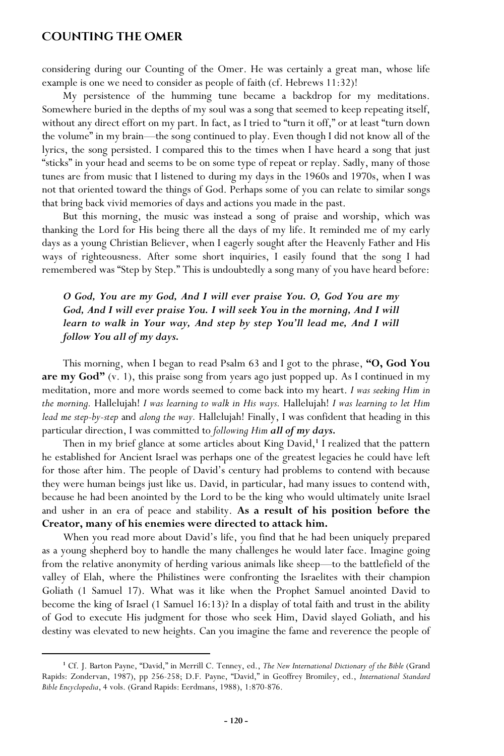### **Counting the Omer**

considering during our Counting of the Omer. He was certainly a great man, whose life example is one we need to consider as people of faith (cf. Hebrews 11:32)!

My persistence of the humming tune became a backdrop for my meditations. Somewhere buried in the depths of my soul was a song that seemed to keep repeating itself, without any direct effort on my part. In fact, as I tried to "turn it off," or at least "turn down the volume" in my brain—the song continued to play. Even though I did not know all of the lyrics, the song persisted. I compared this to the times when I have heard a song that just "sticks" in your head and seems to be on some type of repeat or replay. Sadly, many of those tunes are from music that I listened to during my days in the 1960s and 1970s, when I was not that oriented toward the things of God. Perhaps some of you can relate to similar songs that bring back vivid memories of days and actions you made in the past.

But this morning, the music was instead a song of praise and worship, which was thanking the Lord for His being there all the days of my life. It reminded me of my early days as a young Christian Believer, when I eagerly sought after the Heavenly Father and His ways of righteousness. After some short inquiries, I easily found that the song I had remembered was "Step by Step." This is undoubtedly a song many of you have heard before:

*O God, You are my God, And I will ever praise You. O, God You are my*  God, And I will ever praise You. I will seek You in the morning, And I will *learn to walk in Your way, And step by step You'll lead me, And I will follow You all of my days.*

This morning, when I began to read Psalm 63 and I got to the phrase, **"O, God You are my God"** (v. 1), this praise song from years ago just popped up. As I continued in my meditation, more and more words seemed to come back into my heart. *I was seeking Him in the morning.* Hallelujah! *I was learning to walk in His ways.* Hallelujah! *I was learning to let Him lead me step-by-step* and *along the way.* Hallelujah! Finally, I was confident that heading in this particular direction, I was committed to *following Him all of my days.*

Then in my brief glance at some articles about King David,**<sup>1</sup>** I realized that the pattern he established for Ancient Israel was perhaps one of the greatest legacies he could have left for those after him. The people of David's century had problems to contend with because they were human beings just like us. David, in particular, had many issues to contend with, because he had been anointed by the Lord to be the king who would ultimately unite Israel and usher in an era of peace and stability. **As a result of his position before the Creator, many of his enemies were directed to attack him.**

When you read more about David's life, you find that he had been uniquely prepared as a young shepherd boy to handle the many challenges he would later face. Imagine going from the relative anonymity of herding various animals like sheep—to the battlefield of the valley of Elah, where the Philistines were confronting the Israelites with their champion Goliath (1 Samuel 17). What was it like when the Prophet Samuel anointed David to become the king of Israel (1 Samuel 16:13)? In a display of total faith and trust in the ability of God to execute His judgment for those who seek Him, David slayed Goliath, and his destiny was elevated to new heights. Can you imagine the fame and reverence the people of

**<sup>1</sup>** Cf. J. Barton Payne, "David," in Merrill C. Tenney, ed., *The New International Dictionary of the Bible* (Grand Rapids: Zondervan, 1987), pp 256-258; D.F. Payne, "David," in Geoffrey Bromiley, ed., *International Standard Bible Encyclopedia*, 4 vols. (Grand Rapids: Eerdmans, 1988), 1:870-876.